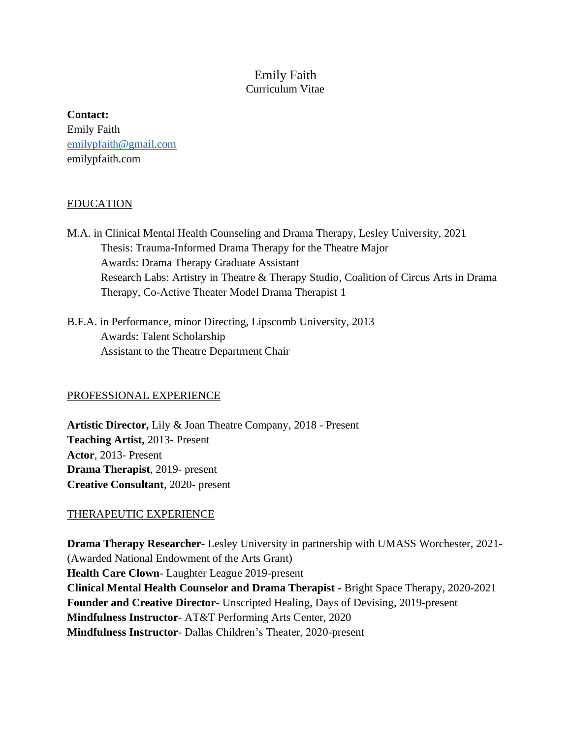# Emily Faith Curriculum Vitae

# **Contact:**

Emily Faith [emilypfaith@gmail.com](mailto:emilypfaith@gmail.com) emilypfaith.com

# EDUCATION

- M.A. in Clinical Mental Health Counseling and Drama Therapy, Lesley University, 2021 Thesis: Trauma-Informed Drama Therapy for the Theatre Major Awards: Drama Therapy Graduate Assistant Research Labs: Artistry in Theatre & Therapy Studio, Coalition of Circus Arts in Drama Therapy, Co-Active Theater Model Drama Therapist 1
- B.F.A. in Performance, minor Directing, Lipscomb University, 2013 Awards: Talent Scholarship Assistant to the Theatre Department Chair

# PROFESSIONAL EXPERIENCE

**Artistic Director,** Lily & Joan Theatre Company, 2018 - Present **Teaching Artist,** 2013- Present **Actor**, 2013- Present **Drama Therapist**, 2019- present **Creative Consultant**, 2020- present

## THERAPEUTIC EXPERIENCE

**Drama Therapy Researcher-** Lesley University in partnership with UMASS Worchester, 2021- (Awarded National Endowment of the Arts Grant) **Health Care Clown**- Laughter League 2019-present **Clinical Mental Health Counselor and Drama Therapist -** Bright Space Therapy, 2020-2021 **Founder and Creative Director**- Unscripted Healing, Days of Devising, 2019-present **Mindfulness Instructor**- AT&T Performing Arts Center, 2020 **Mindfulness Instructor**- Dallas Children's Theater, 2020-present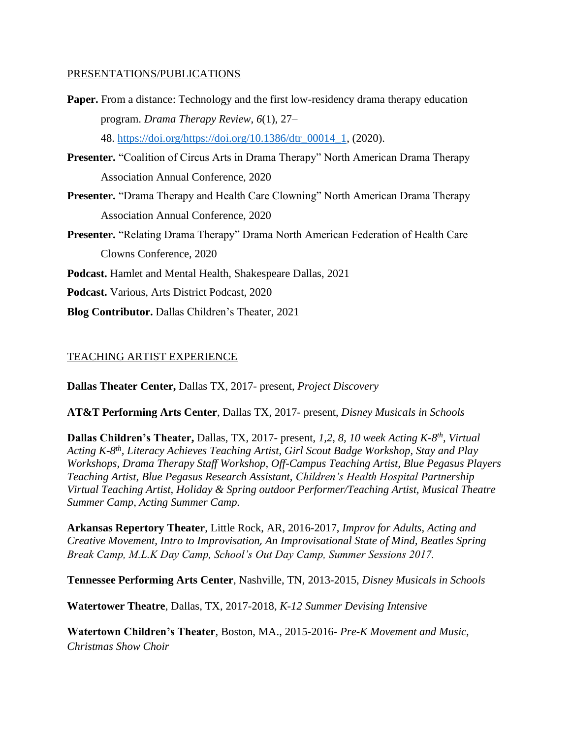### PRESENTATIONS/PUBLICATIONS

- **Paper.** From a distance: Technology and the first low-residency drama therapy education program. *Drama Therapy Review*, *6*(1), 27– 48. [https://doi.org/https://doi.org/10.1386/dtr\\_00014\\_1,](https://doi.org/https:/doi.org/10.1386/dtr_00014_1) (2020).
- **Presenter.** "Coalition of Circus Arts in Drama Therapy" North American Drama Therapy Association Annual Conference, 2020
- **Presenter.** "Drama Therapy and Health Care Clowning" North American Drama Therapy Association Annual Conference, 2020
- **Presenter.** "Relating Drama Therapy" Drama North American Federation of Health Care Clowns Conference, 2020
- **Podcast.** Hamlet and Mental Health, Shakespeare Dallas, 2021
- **Podcast.** Various, Arts District Podcast, 2020
- **Blog Contributor.** Dallas Children's Theater, 2021

## TEACHING ARTIST EXPERIENCE

**Dallas Theater Center,** Dallas TX, 2017- present, *Project Discovery*

**AT&T Performing Arts Center**, Dallas TX, 2017- present, *Disney Musicals in Schools*

**Dallas Children's Theater, Dallas, TX, 2017- present, 1,2, 8, 10 week Acting K-8<sup>th</sup>, Virtual** *Acting K-8 th, Literacy Achieves Teaching Artist, Girl Scout Badge Workshop, Stay and Play Workshops, Drama Therapy Staff Workshop, Off-Campus Teaching Artist, Blue Pegasus Players Teaching Artist, Blue Pegasus Research Assistant, Children's Health Hospital Partnership Virtual Teaching Artist, Holiday & Spring outdoor Performer/Teaching Artist, Musical Theatre Summer Camp, Acting Summer Camp.* 

**Arkansas Repertory Theater**, Little Rock, AR, 2016-2017, *Improv for Adults, Acting and Creative Movement, Intro to Improvisation, An Improvisational State of Mind, Beatles Spring Break Camp, M.L.K Day Camp, School's Out Day Camp, Summer Sessions 2017.* 

**Tennessee Performing Arts Center**, Nashville, TN, 2013-2015, *Disney Musicals in Schools*

**Watertower Theatre**, Dallas, TX, 2017-2018, *K-12 Summer Devising Intensive*

**Watertown Children's Theater**, Boston, MA., 2015-2016- *Pre-K Movement and Music, Christmas Show Choir*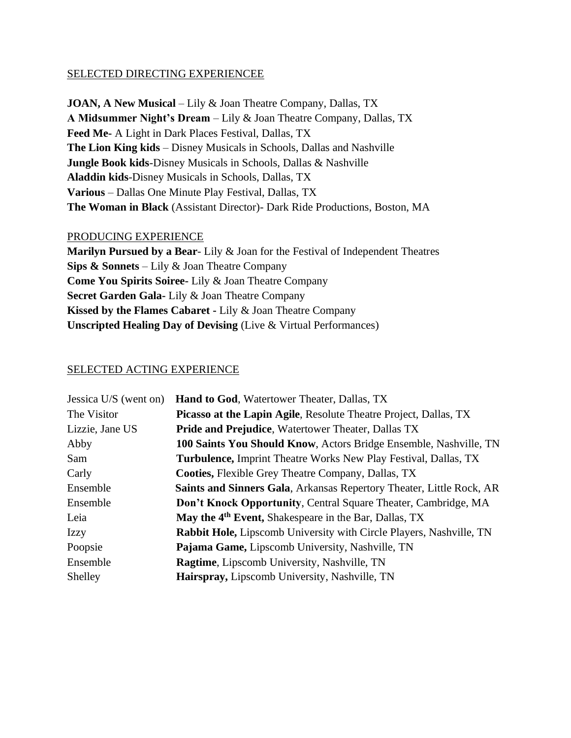### SELECTED DIRECTING EXPERIENCEE

**JOAN, A New Musical** – Lily & Joan Theatre Company, Dallas, TX **A Midsummer Night's Dream** – Lily & Joan Theatre Company, Dallas, TX **Feed Me-** A Light in Dark Places Festival, Dallas, TX **The Lion King kids** – Disney Musicals in Schools, Dallas and Nashville **Jungle Book kids**-Disney Musicals in Schools, Dallas & Nashville **Aladdin kids**-Disney Musicals in Schools, Dallas, TX **Various** – Dallas One Minute Play Festival, Dallas, TX **The Woman in Black** (Assistant Director)- Dark Ride Productions, Boston, MA

#### PRODUCING EXPERIENCE

**Marilyn Pursued by a Bear**- Lily & Joan for the Festival of Independent Theatres **Sips & Sonnets** – Lily & Joan Theatre Company **Come You Spirits Soiree-** Lily & Joan Theatre Company **Secret Garden Gala-** Lily & Joan Theatre Company **Kissed by the Flames Cabaret -** Lily & Joan Theatre Company **Unscripted Healing Day of Devising** (Live & Virtual Performances)

### SELECTED ACTING EXPERIENCE

| Jessica U/S (went on) | <b>Hand to God, Watertower Theater, Dallas, TX</b>                     |
|-----------------------|------------------------------------------------------------------------|
| The Visitor           | Picasso at the Lapin Agile, Resolute Theatre Project, Dallas, TX       |
| Lizzie, Jane US       | <b>Pride and Prejudice, Watertower Theater, Dallas TX</b>              |
| Abby                  | 100 Saints You Should Know, Actors Bridge Ensemble, Nashville, TN      |
| Sam                   | <b>Turbulence, Imprint Theatre Works New Play Festival, Dallas, TX</b> |
| Carly                 | <b>Cooties, Flexible Grey Theatre Company, Dallas, TX</b>              |
| Ensemble              | Saints and Sinners Gala, Arkansas Repertory Theater, Little Rock, AR   |
| Ensemble              | Don't Knock Opportunity, Central Square Theater, Cambridge, MA         |
| Leia                  | May the 4 <sup>th</sup> Event, Shakespeare in the Bar, Dallas, TX      |
| <b>Izzy</b>           | Rabbit Hole, Lipscomb University with Circle Players, Nashville, TN    |
| Poopsie               | Pajama Game, Lipscomb University, Nashville, TN                        |
| Ensemble              | <b>Ragtime</b> , Lipscomb University, Nashville, TN                    |
| Shelley               | Hairspray, Lipscomb University, Nashville, TN                          |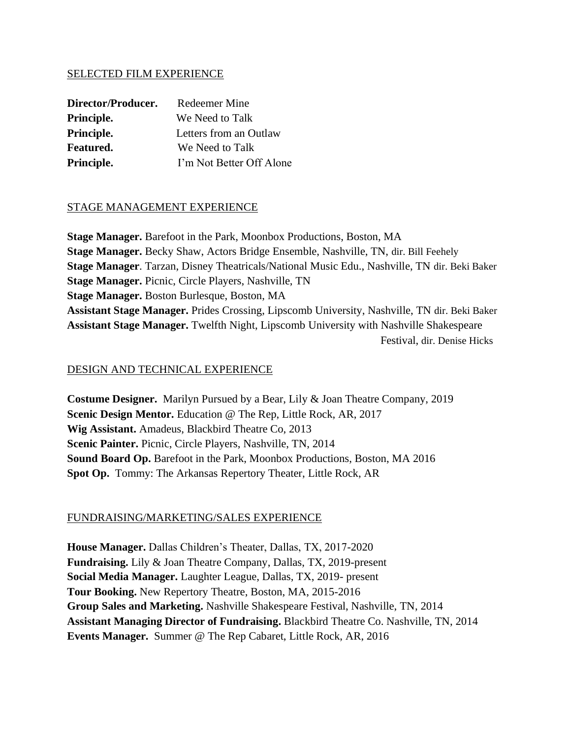### SELECTED FILM EXPERIENCE

| Director/Producer. | <b>Redeemer Mine</b>     |
|--------------------|--------------------------|
| Principle.         | We Need to Talk          |
| Principle.         | Letters from an Outlaw   |
| Featured.          | We Need to Talk          |
| Principle.         | I'm Not Better Off Alone |

## STAGE MANAGEMENT EXPERIENCE

**Stage Manager.** Barefoot in the Park, Moonbox Productions, Boston, MA **Stage Manager.** Becky Shaw, Actors Bridge Ensemble, Nashville, TN, dir. Bill Feehely **Stage Manager**. Tarzan, Disney Theatricals/National Music Edu., Nashville, TN dir. Beki Baker **Stage Manager.** Picnic, Circle Players, Nashville, TN **Stage Manager.** Boston Burlesque, Boston, MA **Assistant Stage Manager.** Prides Crossing, Lipscomb University, Nashville, TN dir. Beki Baker **Assistant Stage Manager.** Twelfth Night, Lipscomb University with Nashville Shakespeare Festival, dir. Denise Hicks

### DESIGN AND TECHNICAL EXPERIENCE

**Costume Designer.** Marilyn Pursued by a Bear, Lily & Joan Theatre Company, 2019 **Scenic Design Mentor.** Education @ The Rep, Little Rock, AR, 2017 **Wig Assistant.** Amadeus, Blackbird Theatre Co, 2013 **Scenic Painter.** Picnic, Circle Players, Nashville, TN, 2014 **Sound Board Op.** Barefoot in the Park, Moonbox Productions, Boston, MA 2016 **Spot Op.** Tommy: The Arkansas Repertory Theater, Little Rock, AR

### FUNDRAISING/MARKETING/SALES EXPERIENCE

**House Manager.** Dallas Children's Theater, Dallas, TX, 2017-2020 **Fundraising.** Lily & Joan Theatre Company, Dallas, TX, 2019-present **Social Media Manager.** Laughter League, Dallas, TX, 2019- present **Tour Booking.** New Repertory Theatre, Boston, MA, 2015-2016 **Group Sales and Marketing.** Nashville Shakespeare Festival, Nashville, TN, 2014 **Assistant Managing Director of Fundraising.** Blackbird Theatre Co. Nashville, TN, 2014 **Events Manager.** Summer @ The Rep Cabaret, Little Rock, AR, 2016